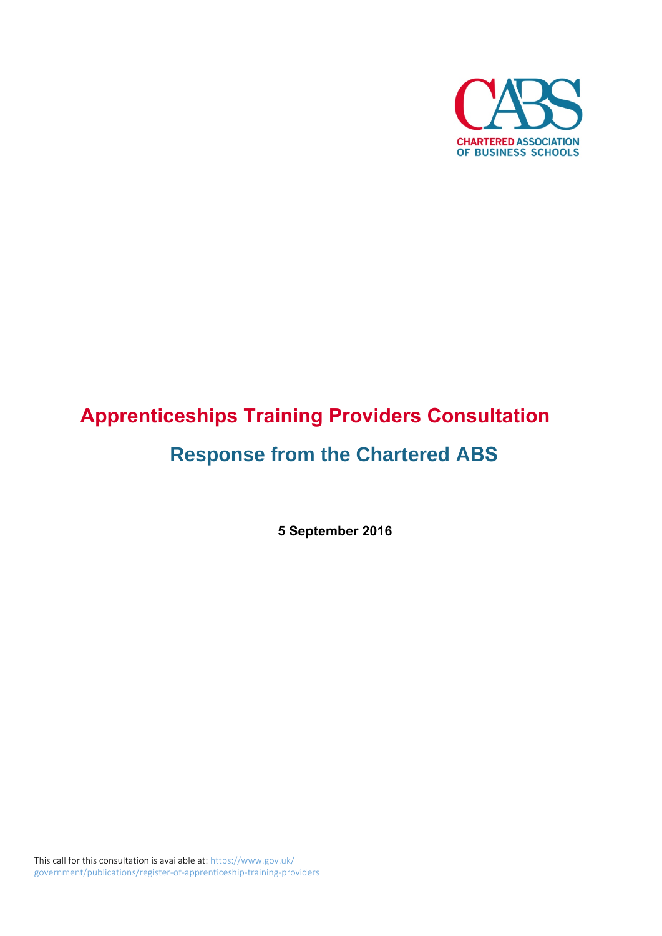

# **Apprenticeships Training Providers Consultation Response from the Chartered ABS**

**5 September 2016**

This call for this consultation is available at: https://www.gov.uk/ government/publications/register-of-apprenticeship-training-providers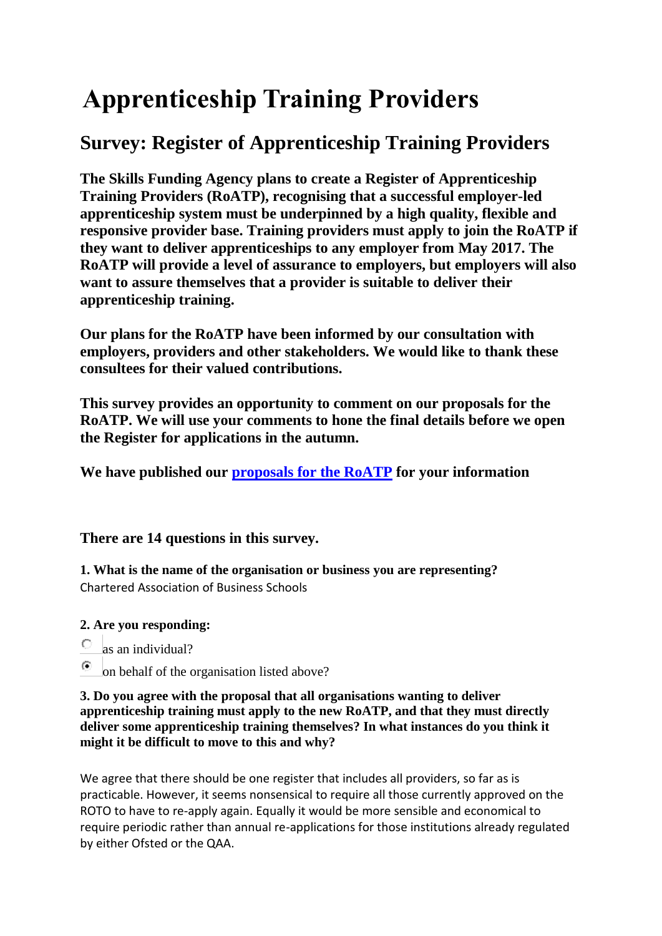# **Apprenticeship Training Providers**

## **Survey: Register of Apprenticeship Training Providers**

**The Skills Funding Agency plans to create a Register of Apprenticeship Training Providers (RoATP), recognising that a successful employer-led apprenticeship system must be underpinned by a high quality, flexible and responsive provider base. Training providers must apply to join the RoATP if they want to deliver apprenticeships to any employer from May 2017. The RoATP will provide a level of assurance to employers, but employers will also want to assure themselves that a provider is suitable to deliver their apprenticeship training.**

**Our plans for the RoATP have been informed by our consultation with employers, providers and other stakeholders. We would like to thank these consultees for their valued contributions.**

**This survey provides an opportunity to comment on our proposals for the RoATP. We will use your comments to hone the final details before we open the Register for applications in the autumn.**

**We have published our [proposals for the RoATP](https://www.gov.uk/government/publications/register-of-) for your information**

### **There are 14 questions in this survey.**

**1. What is the name of the organisation or business you are representing?** Chartered Association of Business Schools

### **2. Are you responding:**

- $\circ$ as an individual?
- $\circ$ on behalf of the organisation listed above?

#### **3. Do you agree with the proposal that all organisations wanting to deliver apprenticeship training must apply to the new RoATP, and that they must directly deliver some apprenticeship training themselves? In what instances do you think it might it be difficult to move to this and why?**

We agree that there should be one register that includes all providers, so far as is practicable. However, it seems nonsensical to require all those currently approved on the ROTO to have to re-apply again. Equally it would be more sensible and economical to require periodic rather than annual re-applications for those institutions already regulated by either Ofsted or the QAA.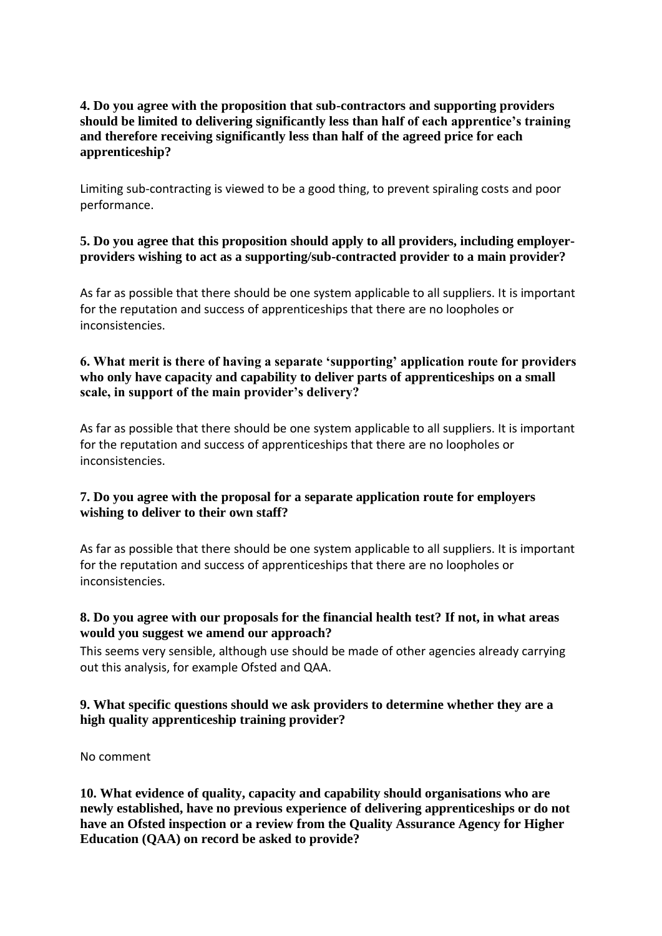#### **4. Do you agree with the proposition that sub-contractors and supporting providers should be limited to delivering significantly less than half of each apprentice's training and therefore receiving significantly less than half of the agreed price for each apprenticeship?**

Limiting sub-contracting is viewed to be a good thing, to prevent spiraling costs and poor performance.

#### **5. Do you agree that this proposition should apply to all providers, including employerproviders wishing to act as a supporting/sub-contracted provider to a main provider?**

As far as possible that there should be one system applicable to all suppliers. It is important for the reputation and success of apprenticeships that there are no loopholes or inconsistencies.

#### **6. What merit is there of having a separate 'supporting' application route for providers who only have capacity and capability to deliver parts of apprenticeships on a small scale, in support of the main provider's delivery?**

As far as possible that there should be one system applicable to all suppliers. It is important for the reputation and success of apprenticeships that there are no loopholes or inconsistencies.

#### **7. Do you agree with the proposal for a separate application route for employers wishing to deliver to their own staff?**

As far as possible that there should be one system applicable to all suppliers. It is important for the reputation and success of apprenticeships that there are no loopholes or inconsistencies.

#### **8. Do you agree with our proposals for the financial health test? If not, in what areas would you suggest we amend our approach?**

This seems very sensible, although use should be made of other agencies already carrying out this analysis, for example Ofsted and QAA.

#### **9. What specific questions should we ask providers to determine whether they are a high quality apprenticeship training provider?**

No comment

**10. What evidence of quality, capacity and capability should organisations who are newly established, have no previous experience of delivering apprenticeships or do not have an Ofsted inspection or a review from the Quality Assurance Agency for Higher Education (QAA) on record be asked to provide?**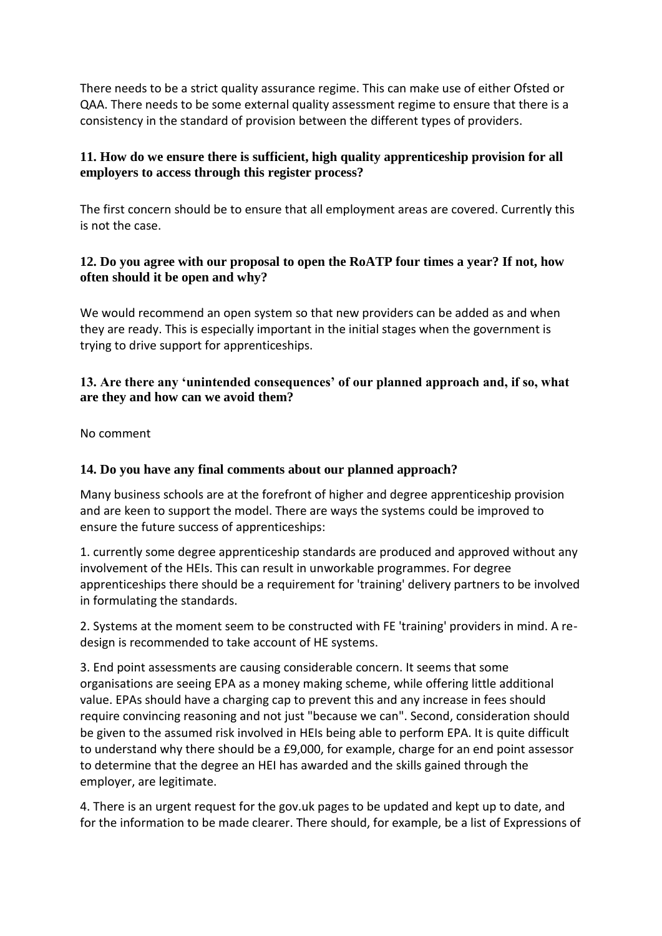There needs to be a strict quality assurance regime. This can make use of either Ofsted or QAA. There needs to be some external quality assessment regime to ensure that there is a consistency in the standard of provision between the different types of providers.

#### **11. How do we ensure there is sufficient, high quality apprenticeship provision for all employers to access through this register process?**

The first concern should be to ensure that all employment areas are covered. Currently this is not the case.

#### **12. Do you agree with our proposal to open the RoATP four times a year? If not, how often should it be open and why?**

We would recommend an open system so that new providers can be added as and when they are ready. This is especially important in the initial stages when the government is trying to drive support for apprenticeships.

#### **13. Are there any 'unintended consequences' of our planned approach and, if so, what are they and how can we avoid them?**

No comment

#### **14. Do you have any final comments about our planned approach?**

Many business schools are at the forefront of higher and degree apprenticeship provision and are keen to support the model. There are ways the systems could be improved to ensure the future success of apprenticeships:

1. currently some degree apprenticeship standards are produced and approved without any involvement of the HEIs. This can result in unworkable programmes. For degree apprenticeships there should be a requirement for 'training' delivery partners to be involved in formulating the standards.

2. Systems at the moment seem to be constructed with FE 'training' providers in mind. A redesign is recommended to take account of HE systems.

3. End point assessments are causing considerable concern. It seems that some organisations are seeing EPA as a money making scheme, while offering little additional value. EPAs should have a charging cap to prevent this and any increase in fees should require convincing reasoning and not just "because we can". Second, consideration should be given to the assumed risk involved in HEIs being able to perform EPA. It is quite difficult to understand why there should be a £9,000, for example, charge for an end point assessor to determine that the degree an HEI has awarded and the skills gained through the employer, are legitimate.

4. There is an urgent request for the gov.uk pages to be updated and kept up to date, and for the information to be made clearer. There should, for example, be a list of Expressions of